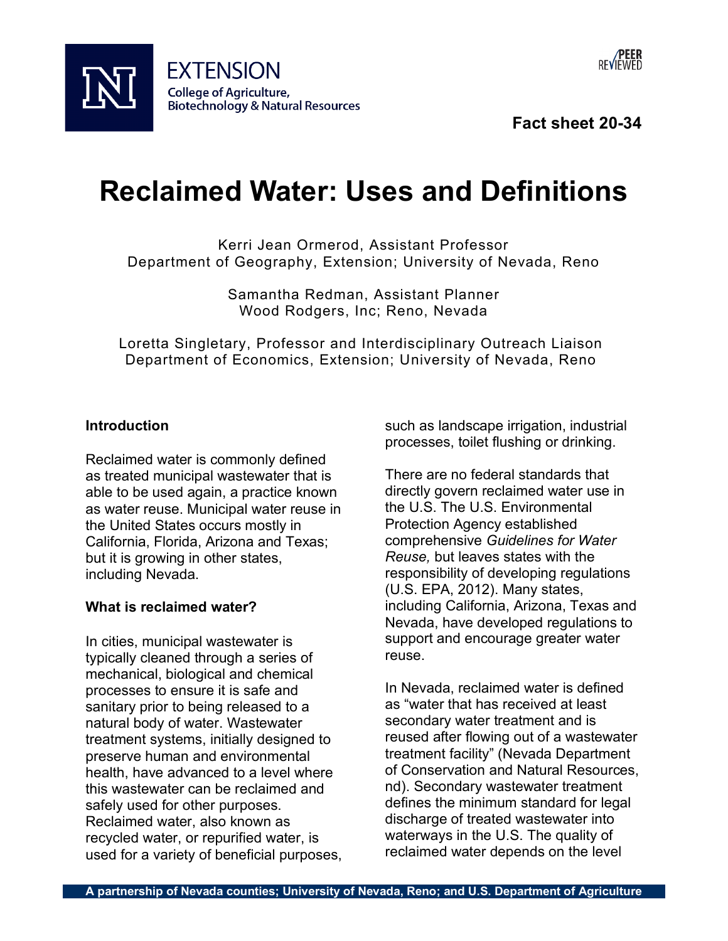

**Fact sheet 20-34**

## **Reclaimed Water: Uses and Definitions**

Kerri Jean Ormerod, Assistant Professor Department of Geography, Extension; University of Nevada, Reno

> Samantha Redman, Assistant Planner Wood Rodgers, Inc; Reno, Nevada

Loretta Singletary, Professor and Interdisciplinary Outreach Liaison Department of Economics, Extension; University of Nevada, Reno

## **Introduction**

Reclaimed water is commonly defined as treated municipal wastewater that is able to be used again, a practice known as water reuse. Municipal water reuse in the United States occurs mostly in California, Florida, Arizona and Texas; but it is growing in other states, including Nevada.

## **What is reclaimed water?**

In cities, municipal wastewater is typically cleaned through a series of mechanical, biological and chemical processes to ensure it is safe and sanitary prior to being released to a natural body of water. Wastewater treatment systems, initially designed to preserve human and environmental health, have advanced to a level where this wastewater can be reclaimed and safely used for other purposes. Reclaimed water, also known as recycled water, or repurified water, is used for a variety of beneficial purposes, such as landscape irrigation, industrial processes, toilet flushing or drinking.

There are no federal standards that directly govern reclaimed water use in the U.S. The U.S. Environmental Protection Agency established comprehensive *Guidelines for Water Reuse,* but leaves states with the responsibility of developing regulations (U.S. EPA, 2012). Many states, including California, Arizona, Texas and Nevada, have developed regulations to support and encourage greater water reuse.

In Nevada, reclaimed water is defined as "water that has received at least secondary water treatment and is reused after flowing out of a wastewater treatment facility" (Nevada Department of Conservation and Natural Resources, nd). Secondary wastewater treatment defines the minimum standard for legal discharge of treated wastewater into waterways in the U.S. The quality of reclaimed water depends on the level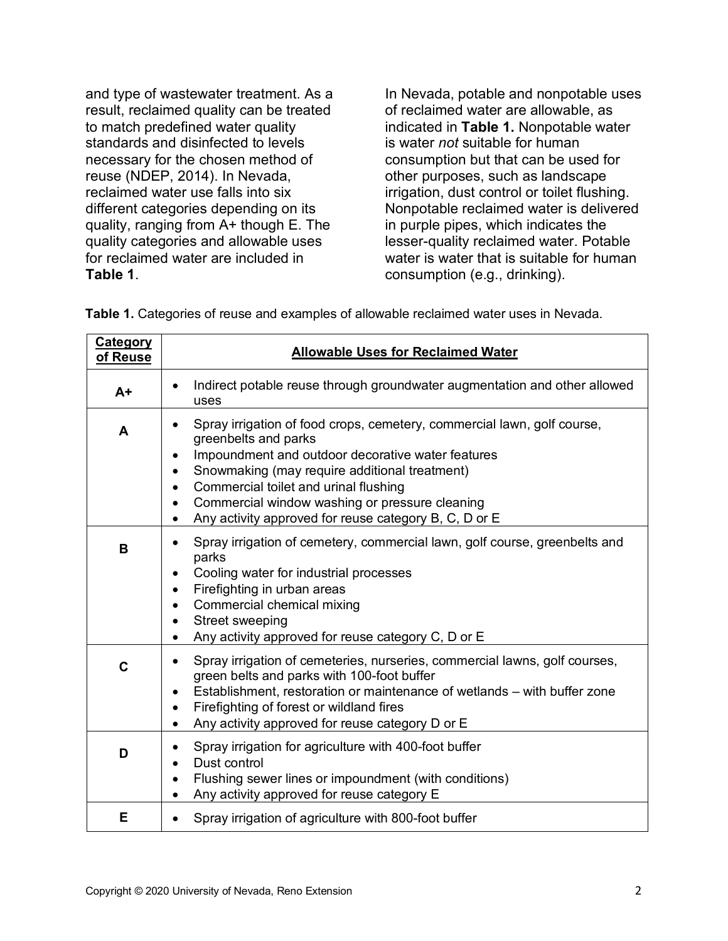and type of wastewater treatment. As a result, reclaimed quality can be treated to match predefined water quality standards and disinfected to levels necessary for the chosen method of reuse (NDEP, 2014). In Nevada, reclaimed water use falls into six different categories depending on its quality, ranging from A+ though E. The quality categories and allowable uses for reclaimed water are included in **Table 1**.

In Nevada, potable and nonpotable uses of reclaimed water are allowable, as indicated in **Table 1.** Nonpotable water is water *not* suitable for human consumption but that can be used for other purposes, such as landscape irrigation, dust control or toilet flushing. Nonpotable reclaimed water is delivered in purple pipes, which indicates the lesser-quality reclaimed water. Potable water is water that is suitable for human consumption (e.g., drinking).

**Table 1.** Categories of reuse and examples of allowable reclaimed water uses in Nevada.

| <b>Category</b><br>of Reuse | <b>Allowable Uses for Reclaimed Water</b>                                                                                                                                                                                                                                                                                                                                                                                               |
|-----------------------------|-----------------------------------------------------------------------------------------------------------------------------------------------------------------------------------------------------------------------------------------------------------------------------------------------------------------------------------------------------------------------------------------------------------------------------------------|
| $A+$                        | Indirect potable reuse through groundwater augmentation and other allowed<br>uses                                                                                                                                                                                                                                                                                                                                                       |
| A                           | Spray irrigation of food crops, cemetery, commercial lawn, golf course,<br>$\bullet$<br>greenbelts and parks<br>Impoundment and outdoor decorative water features<br>$\bullet$<br>Snowmaking (may require additional treatment)<br>$\bullet$<br>Commercial toilet and urinal flushing<br>$\bullet$<br>Commercial window washing or pressure cleaning<br>$\bullet$<br>Any activity approved for reuse category B, C, D or E<br>$\bullet$ |
| B                           | Spray irrigation of cemetery, commercial lawn, golf course, greenbelts and<br>parks<br>Cooling water for industrial processes<br>Firefighting in urban areas<br>$\bullet$<br>Commercial chemical mixing<br>$\bullet$<br>Street sweeping<br>$\bullet$<br>Any activity approved for reuse category C, D or E<br>$\bullet$                                                                                                                 |
| C                           | Spray irrigation of cemeteries, nurseries, commercial lawns, golf courses,<br>green belts and parks with 100-foot buffer<br>Establishment, restoration or maintenance of wetlands – with buffer zone<br>$\bullet$<br>Firefighting of forest or wildland fires<br>$\bullet$<br>Any activity approved for reuse category D or E<br>$\bullet$                                                                                              |
| D                           | Spray irrigation for agriculture with 400-foot buffer<br>Dust control<br>$\bullet$<br>Flushing sewer lines or impoundment (with conditions)<br>$\bullet$<br>Any activity approved for reuse category E                                                                                                                                                                                                                                  |
| Е                           | Spray irrigation of agriculture with 800-foot buffer                                                                                                                                                                                                                                                                                                                                                                                    |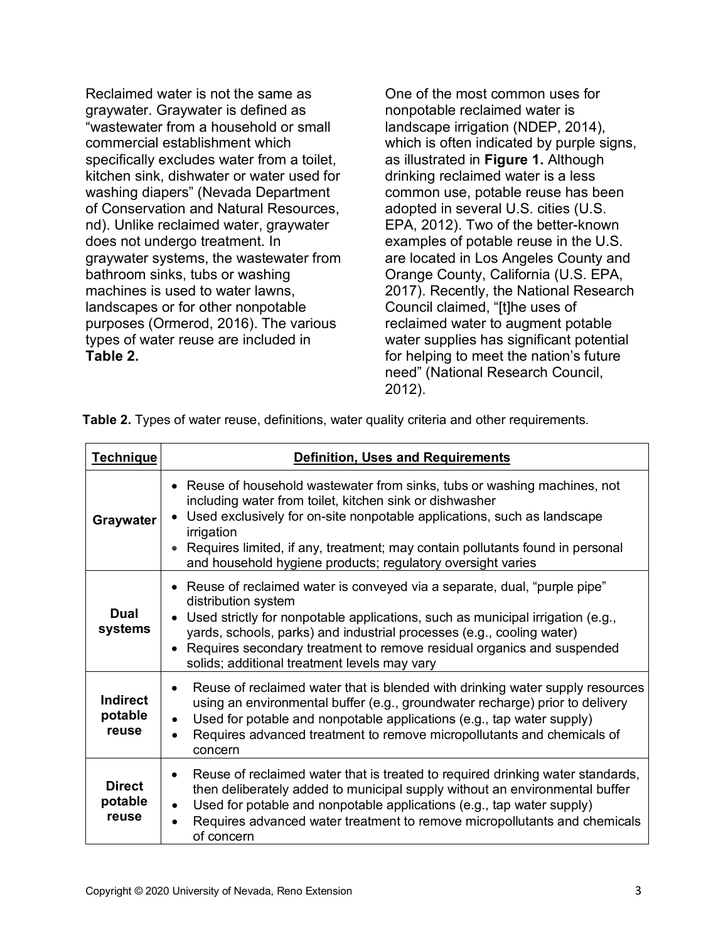Reclaimed water is not the same as graywater. Graywater is defined as "wastewater from a household or small commercial establishment which specifically excludes water from a toilet, kitchen sink, dishwater or water used for washing diapers" (Nevada Department of Conservation and Natural Resources, nd). Unlike reclaimed water, graywater does not undergo treatment. In graywater systems, the wastewater from bathroom sinks, tubs or washing machines is used to water lawns, landscapes or for other nonpotable purposes (Ormerod, 2016). The various types of water reuse are included in **Table 2.** 

One of the most common uses for nonpotable reclaimed water is landscape irrigation (NDEP, 2014), which is often indicated by purple signs, as illustrated in **Figure 1.** Although drinking reclaimed water is a less common use, potable reuse has been adopted in several U.S. cities (U.S. EPA, 2012). Two of the better-known examples of potable reuse in the U.S. are located in Los Angeles County and Orange County, California (U.S. EPA, 2017). Recently, the National Research Council claimed, "[t]he uses of reclaimed water to augment potable water supplies has significant potential for helping to meet the nation's future need" (National Research Council, 2012).

| <b>Technique</b>                    | <b>Definition, Uses and Requirements</b>                                                                                                                                                                                                                                                                                                                                               |
|-------------------------------------|----------------------------------------------------------------------------------------------------------------------------------------------------------------------------------------------------------------------------------------------------------------------------------------------------------------------------------------------------------------------------------------|
| Graywater                           | • Reuse of household wastewater from sinks, tubs or washing machines, not<br>including water from toilet, kitchen sink or dishwasher<br>Used exclusively for on-site nonpotable applications, such as landscape<br>irrigation<br>Requires limited, if any, treatment; may contain pollutants found in personal<br>and household hygiene products; regulatory oversight varies          |
| Dual<br>systems                     | • Reuse of reclaimed water is conveyed via a separate, dual, "purple pipe"<br>distribution system<br>Used strictly for nonpotable applications, such as municipal irrigation (e.g.,<br>yards, schools, parks) and industrial processes (e.g., cooling water)<br>Requires secondary treatment to remove residual organics and suspended<br>solids; additional treatment levels may vary |
| <b>Indirect</b><br>potable<br>reuse | Reuse of reclaimed water that is blended with drinking water supply resources<br>using an environmental buffer (e.g., groundwater recharge) prior to delivery<br>Used for potable and nonpotable applications (e.g., tap water supply)<br>Requires advanced treatment to remove micropollutants and chemicals of<br>concern                                                            |
| <b>Direct</b><br>potable<br>reuse   | Reuse of reclaimed water that is treated to required drinking water standards,<br>then deliberately added to municipal supply without an environmental buffer<br>Used for potable and nonpotable applications (e.g., tap water supply)<br>Requires advanced water treatment to remove micropollutants and chemicals<br>of concern                                                      |

**Table 2.** Types of water reuse, definitions, water quality criteria and other requirements.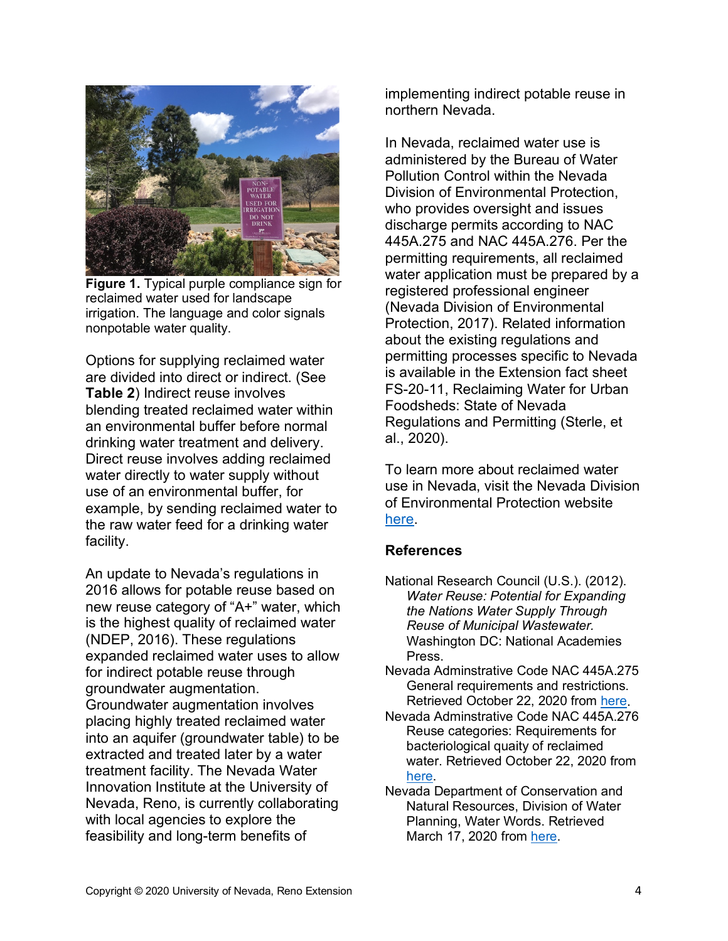

**Figure 1.** Typical purple compliance sign for reclaimed water used for landscape irrigation. The language and color signals nonpotable water quality.

Options for supplying reclaimed water are divided into direct or indirect. (See **Table 2**) Indirect reuse involves blending treated reclaimed water within an environmental buffer before normal drinking water treatment and delivery. Direct reuse involves adding reclaimed water directly to water supply without use of an environmental buffer, for example, by sending reclaimed water to the raw water feed for a drinking water facility.

An update to Nevada's regulations in 2016 allows for potable reuse based on new reuse category of "A+" water, which is the highest quality of reclaimed water (NDEP, 2016). These regulations expanded reclaimed water uses to allow for indirect potable reuse through groundwater augmentation. Groundwater augmentation involves placing highly treated reclaimed water into an aquifer (groundwater table) to be extracted and treated later by a water treatment facility. The Nevada Water Innovation Institute at the University of Nevada, Reno, is currently collaborating with local agencies to explore the feasibility and long-term benefits of

implementing indirect potable reuse in northern Nevada.

In Nevada, reclaimed water use is administered by the Bureau of Water Pollution Control within the Nevada Division of Environmental Protection, who provides oversight and issues discharge permits according to NAC 445A.275 and NAC 445A.276. Per the permitting requirements, all reclaimed water application must be prepared by a registered professional engineer (Nevada Division of Environmental Protection, 2017). Related information about the existing regulations and permitting processes specific to Nevada is available in the Extension fact sheet FS-20-11, Reclaiming Water for Urban Foodsheds: State of Nevada Regulations and Permitting (Sterle, et al., 2020).

To learn more about reclaimed water use in Nevada, visit the Nevada Division of Environmental Protection website [here.](https://ndep.nv.gov/water/water-pollution-control)

## **References**

- National Research Council (U.S.). (2012). *Water Reuse: Potential for Expanding the Nations Water Supply Through Reuse of Municipal Wastewater.* Washington DC: National Academies **Press**
- Nevada Adminstrative Code NAC 445A.275 General requirements and restrictions. Retrieved October 22, 2020 from [here.](https://www.leg.state.nv.us/nac/nac-445a.html#NAC445ASec275)
- Nevada Adminstrative Code NAC 445A.276 Reuse categories: Requirements for bacteriological quaity of reclaimed water. Retrieved October 22, 2020 from [here.](https://www.leg.state.nv.us/nac/nac-445a.html#NAC445ASec276)
- Nevada Department of Conservation and Natural Resources, Division of Water Planning, Water Words. Retrieved March 17, 2020 from [here.](http://water.nv.gov/programs/planning/dictionary/wwords-R.pdf)